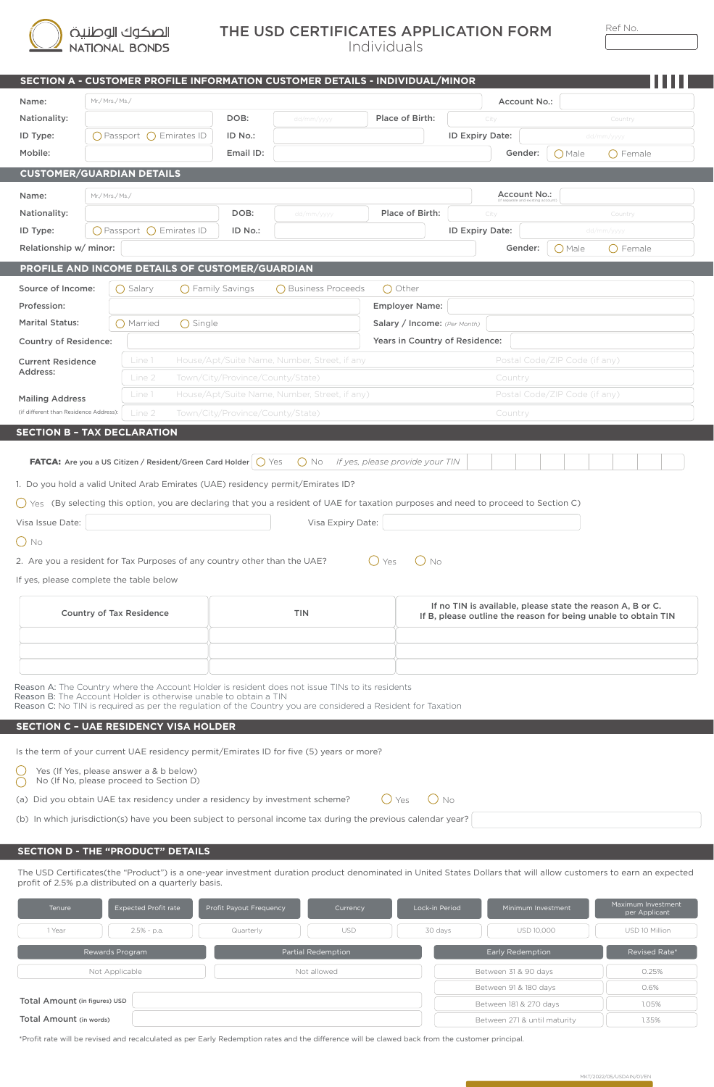

## THE USD CERTIFICATES APPLICATION FORM Ref No.

|                                                                                                            |                                                                                    |                                            |                   |                                                                  | SECTION A - CUSTOMER PROFILE INFORMATION CUSTOMER DETAILS - INDIVIDUAL/MINOR                                                                                                                                    |                                                                                                                              |                 |                    |                               |                                     |
|------------------------------------------------------------------------------------------------------------|------------------------------------------------------------------------------------|--------------------------------------------|-------------------|------------------------------------------------------------------|-----------------------------------------------------------------------------------------------------------------------------------------------------------------------------------------------------------------|------------------------------------------------------------------------------------------------------------------------------|-----------------|--------------------|-------------------------------|-------------------------------------|
| Name:                                                                                                      |                                                                                    | Mr./Mrs./Ms./                              |                   |                                                                  |                                                                                                                                                                                                                 |                                                                                                                              | Account No.:    |                    |                               |                                     |
| Nationality:                                                                                               |                                                                                    |                                            |                   | DOB:                                                             | dd/mm/yyyy                                                                                                                                                                                                      | Place of Birth:                                                                                                              | City            |                    | Country                       |                                     |
| ID Type:                                                                                                   |                                                                                    | $\bigcirc$ Passport $\bigcirc$ Emirates ID |                   | ID No.:                                                          |                                                                                                                                                                                                                 |                                                                                                                              | ID Expiry Date: |                    | dd/mm/yyyy                    |                                     |
| Mobile:                                                                                                    |                                                                                    |                                            |                   | Email ID:                                                        |                                                                                                                                                                                                                 |                                                                                                                              |                 | Gender:            | () Male<br>() Female          |                                     |
|                                                                                                            | <b>CUSTOMER/GUARDIAN DETAILS</b>                                                   |                                            |                   |                                                                  |                                                                                                                                                                                                                 |                                                                                                                              |                 |                    |                               |                                     |
| Name:                                                                                                      | Mr./Mrs./Ms./                                                                      |                                            |                   |                                                                  |                                                                                                                                                                                                                 |                                                                                                                              |                 | Account No.:       |                               |                                     |
| Nationality:                                                                                               |                                                                                    |                                            |                   | DOB:                                                             | dd/mm/yyyy                                                                                                                                                                                                      | Place of Birth:                                                                                                              | City            |                    | Country                       |                                     |
| ID Type:                                                                                                   |                                                                                    | ○ Passport ○ Emirates ID                   |                   | ID No.:                                                          |                                                                                                                                                                                                                 |                                                                                                                              | ID Expiry Date: |                    | dd/mm/yyyy                    |                                     |
| Relationship w/ minor:                                                                                     |                                                                                    |                                            |                   |                                                                  |                                                                                                                                                                                                                 |                                                                                                                              |                 | Gender:            | $O$ Male<br>◯ Female          |                                     |
|                                                                                                            |                                                                                    |                                            |                   | PROFILE AND INCOME DETAILS OF CUSTOMER/GUARDIAN                  |                                                                                                                                                                                                                 |                                                                                                                              |                 |                    |                               |                                     |
| Source of Income:                                                                                          |                                                                                    | $\bigcap$ Salary                           |                   | $\bigcap$ Family Savings                                         | ◯ Business Proceeds                                                                                                                                                                                             | $\bigcap$ Other                                                                                                              |                 |                    |                               |                                     |
| Profession:                                                                                                |                                                                                    |                                            |                   |                                                                  |                                                                                                                                                                                                                 | <b>Employer Name:</b>                                                                                                        |                 |                    |                               |                                     |
| <b>Marital Status:</b>                                                                                     |                                                                                    | () Married                                 | $\bigcirc$ Single |                                                                  |                                                                                                                                                                                                                 | Salary / Income: (Per Month)                                                                                                 |                 |                    |                               |                                     |
| <b>Country of Residence:</b>                                                                               |                                                                                    |                                            |                   |                                                                  |                                                                                                                                                                                                                 | Years in Country of Residence:                                                                                               |                 |                    |                               |                                     |
| <b>Current Residence</b>                                                                                   |                                                                                    | Line 1                                     |                   |                                                                  | House/Apt/Suite Name, Number, Street, if any                                                                                                                                                                    |                                                                                                                              |                 |                    | Postal Code/ZIP Code (if any) |                                     |
| Address:                                                                                                   |                                                                                    | Line 2                                     |                   | Town/City/Province/County/State)                                 |                                                                                                                                                                                                                 |                                                                                                                              |                 | Country            |                               |                                     |
| <b>Mailing Address</b>                                                                                     |                                                                                    | Line 1                                     |                   |                                                                  | House/Apt/Suite Name, Number, Street, if any)                                                                                                                                                                   |                                                                                                                              |                 |                    | Postal Code/ZIP Code (if any) |                                     |
| (if different than Residence Address):                                                                     |                                                                                    | Line 2                                     |                   | Town/City/Province/County/State)                                 |                                                                                                                                                                                                                 |                                                                                                                              |                 | Country            |                               |                                     |
| $\bigcirc$ No                                                                                              |                                                                                    |                                            |                   |                                                                  | 2. Are you a resident for Tax Purposes of any country other than the UAE?                                                                                                                                       | $O$ No<br>$\bigcup$ Yes                                                                                                      |                 |                    |                               |                                     |
| If yes, please complete the table below                                                                    |                                                                                    |                                            |                   |                                                                  |                                                                                                                                                                                                                 |                                                                                                                              |                 |                    |                               |                                     |
| <b>Country of Tax Residence</b>                                                                            |                                                                                    |                                            | <b>TIN</b>        |                                                                  |                                                                                                                                                                                                                 | If no TIN is available, please state the reason A, B or C.<br>If B, please outline the reason for being unable to obtain TIN |                 |                    |                               |                                     |
|                                                                                                            |                                                                                    |                                            |                   |                                                                  |                                                                                                                                                                                                                 |                                                                                                                              |                 |                    |                               |                                     |
|                                                                                                            |                                                                                    |                                            |                   |                                                                  |                                                                                                                                                                                                                 |                                                                                                                              |                 |                    |                               |                                     |
|                                                                                                            |                                                                                    |                                            |                   |                                                                  |                                                                                                                                                                                                                 |                                                                                                                              |                 |                    |                               |                                     |
| <b>SECTION C - UAE RESIDENCY VISA HOLDER</b>                                                               |                                                                                    |                                            |                   | Reason B: The Account Holder is otherwise unable to obtain a TIN | Reason A: The Country where the Account Holder is resident does not issue TINs to its residents<br>Reason C: No TIN is required as per the regulation of the Country you are considered a Resident for Taxation |                                                                                                                              |                 |                    |                               |                                     |
|                                                                                                            |                                                                                    |                                            |                   |                                                                  | Is the term of your current UAE residency permit/Emirates ID for five (5) years or more?                                                                                                                        |                                                                                                                              |                 |                    |                               |                                     |
|                                                                                                            | Yes (If Yes, please answer a & b below)<br>No (If No, please proceed to Section D) |                                            |                   |                                                                  |                                                                                                                                                                                                                 |                                                                                                                              |                 |                    |                               |                                     |
|                                                                                                            |                                                                                    |                                            |                   |                                                                  | (a) Did you obtain UAE tax residency under a residency by investment scheme?                                                                                                                                    | $()$ No<br>$()$ Yes                                                                                                          |                 |                    |                               |                                     |
|                                                                                                            |                                                                                    |                                            |                   |                                                                  | (b) In which jurisdiction(s) have you been subject to personal income tax during the previous calendar year?                                                                                                    |                                                                                                                              |                 |                    |                               |                                     |
|                                                                                                            |                                                                                    |                                            |                   |                                                                  |                                                                                                                                                                                                                 |                                                                                                                              |                 |                    |                               |                                     |
|                                                                                                            |                                                                                    |                                            |                   |                                                                  |                                                                                                                                                                                                                 |                                                                                                                              |                 |                    |                               |                                     |
|                                                                                                            |                                                                                    |                                            |                   |                                                                  | The USD Certificates(the "Product") is a one-year investment duration product denominated in United States Dollars that will allow customers to earn an expected                                                |                                                                                                                              |                 |                    |                               |                                     |
| Tenure                                                                                                     |                                                                                    | <b>Expected Profit rate</b>                |                   | Profit Payout Frequency                                          | Currency                                                                                                                                                                                                        | Lock-in Period                                                                                                               |                 | Minimum Investment |                               | Maximum Investment<br>per Applicant |
| <b>SECTION D - THE "PRODUCT" DETAILS</b><br>profit of 2.5% p.a distributed on a quarterly basis.<br>1 Year |                                                                                    | 2.5% - p.a.                                |                   | Quarterly                                                        | <b>USD</b>                                                                                                                                                                                                      | 30 days                                                                                                                      |                 | USD 10,000         |                               | USD 10 Million                      |

| Total Amount (in figures) USD |  |
|-------------------------------|--|
| Total Amount (in words)       |  |

Not Applicable

\*Profit rate will be revised and recalculated as per Early Redemption rates and the difference will be clawed back from the customer principal.

Not allowed

Between 31 & 90 days 0.25% Between 91 & 180 days  $\Big|\qquad \qquad$  0.6% Between 181 & 270 days  $\int$  1.05% Between 271 & until maturity  $||$  1.35%